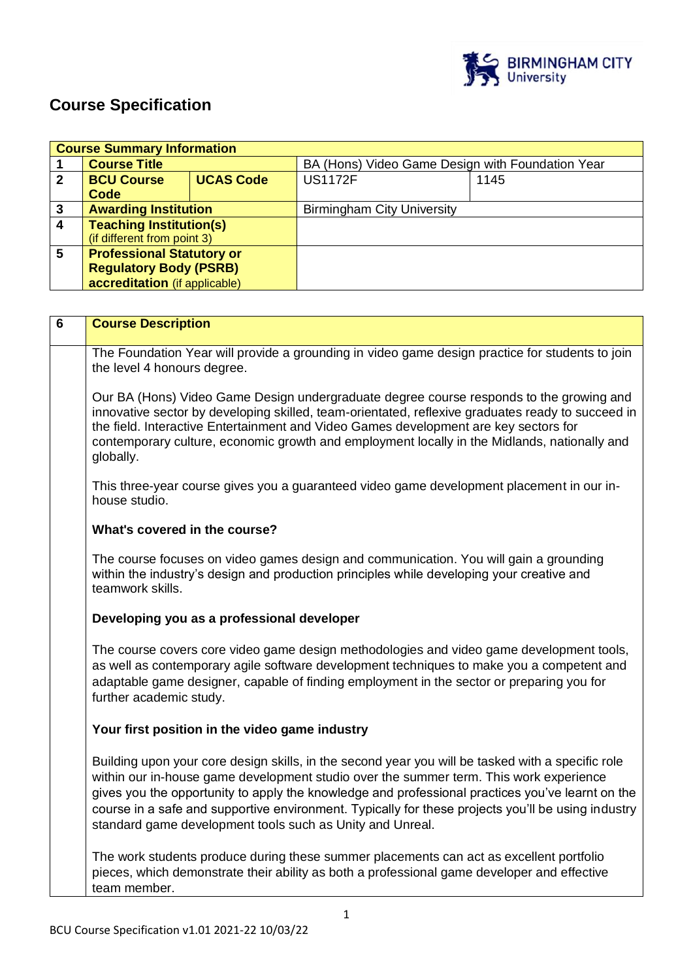

h

# **Course Specification**

|              | <b>Course Summary Information</b> |                  |                                                  |      |
|--------------|-----------------------------------|------------------|--------------------------------------------------|------|
|              | <b>Course Title</b>               |                  | BA (Hons) Video Game Design with Foundation Year |      |
| $\mathbf{2}$ | <b>BCU Course</b>                 | <b>UCAS Code</b> | <b>US1172F</b>                                   | 1145 |
|              | Code                              |                  |                                                  |      |
| 3            | <b>Awarding Institution</b>       |                  | <b>Birmingham City University</b>                |      |
| 4            | <b>Teaching Institution(s)</b>    |                  |                                                  |      |
|              | (if different from point 3)       |                  |                                                  |      |
| 5            | <b>Professional Statutory or</b>  |                  |                                                  |      |
|              | <b>Regulatory Body (PSRB)</b>     |                  |                                                  |      |
|              | accreditation (if applicable)     |                  |                                                  |      |

| 6 | <b>Course Description</b>                                                                                                                                                                                                                                                                                                                                                                                                                                          |
|---|--------------------------------------------------------------------------------------------------------------------------------------------------------------------------------------------------------------------------------------------------------------------------------------------------------------------------------------------------------------------------------------------------------------------------------------------------------------------|
|   | The Foundation Year will provide a grounding in video game design practice for students to join<br>the level 4 honours degree.                                                                                                                                                                                                                                                                                                                                     |
|   | Our BA (Hons) Video Game Design undergraduate degree course responds to the growing and<br>innovative sector by developing skilled, team-orientated, reflexive graduates ready to succeed in<br>the field. Interactive Entertainment and Video Games development are key sectors for<br>contemporary culture, economic growth and employment locally in the Midlands, nationally and<br>globally.                                                                  |
|   | This three-year course gives you a guaranteed video game development placement in our in-<br>house studio.                                                                                                                                                                                                                                                                                                                                                         |
|   | What's covered in the course?                                                                                                                                                                                                                                                                                                                                                                                                                                      |
|   | The course focuses on video games design and communication. You will gain a grounding<br>within the industry's design and production principles while developing your creative and<br>teamwork skills.                                                                                                                                                                                                                                                             |
|   | Developing you as a professional developer                                                                                                                                                                                                                                                                                                                                                                                                                         |
|   | The course covers core video game design methodologies and video game development tools,<br>as well as contemporary agile software development techniques to make you a competent and<br>adaptable game designer, capable of finding employment in the sector or preparing you for<br>further academic study.                                                                                                                                                      |
|   | Your first position in the video game industry                                                                                                                                                                                                                                                                                                                                                                                                                     |
|   | Building upon your core design skills, in the second year you will be tasked with a specific role<br>within our in-house game development studio over the summer term. This work experience<br>gives you the opportunity to apply the knowledge and professional practices you've learnt on the<br>course in a safe and supportive environment. Typically for these projects you'll be using industry<br>standard game development tools such as Unity and Unreal. |
|   | The work students produce during these summer placements can act as excellent portfolio<br>pieces, which demonstrate their ability as both a professional game developer and effective<br>team member.                                                                                                                                                                                                                                                             |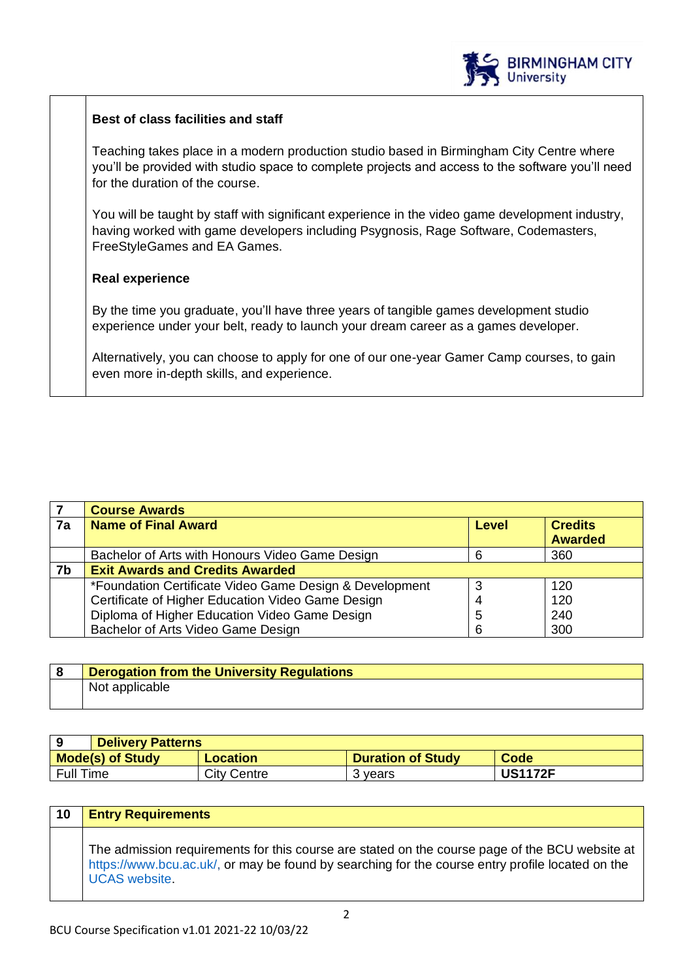

# **Best of class facilities and staff**

Teaching takes place in a modern production studio based in Birmingham City Centre where you'll be provided with studio space to complete projects and access to the software you'll need for the duration of the course.

You will be taught by staff with significant experience in the video game development industry, having worked with game developers including Psygnosis, Rage Software, Codemasters, FreeStyleGames and EA Games.

# **Real experience**

By the time you graduate, you'll have three years of tangible games development studio experience under your belt, ready to launch your dream career as a games developer.

Alternatively, you can choose to apply for one of our one-year Gamer Camp courses, to gain even more in-depth skills, and experience.

|    | <b>Course Awards</b>                                    |       |                |
|----|---------------------------------------------------------|-------|----------------|
| 7a | <b>Name of Final Award</b>                              | Level | <b>Credits</b> |
|    |                                                         |       | <b>Awarded</b> |
|    | Bachelor of Arts with Honours Video Game Design         |       | 360            |
| 7b | <b>Exit Awards and Credits Awarded</b>                  |       |                |
|    | *Foundation Certificate Video Game Design & Development |       | 120            |
|    | Certificate of Higher Education Video Game Design       |       | 120            |
|    | Diploma of Higher Education Video Game Design           | 5     | 240            |
|    | Bachelor of Arts Video Game Design                      | 6     | 300            |

| <b>Derogation from the University Regulations</b> |
|---------------------------------------------------|
| Not applicable                                    |

|                         | <b>Delivery Patterns</b> |                          |                |
|-------------------------|--------------------------|--------------------------|----------------|
| <b>Mode(s) of Study</b> | Location                 | <b>Duration of Study</b> | Code           |
| Full Time               | City Centre              | 3 vears                  | <b>US1172F</b> |

| 10 | <b>Entry Requirements</b>                                                                                                                                                                                                  |
|----|----------------------------------------------------------------------------------------------------------------------------------------------------------------------------------------------------------------------------|
|    | The admission requirements for this course are stated on the course page of the BCU website at<br>https://www.bcu.ac.uk/, or may be found by searching for the course entry profile located on the<br><b>UCAS</b> website. |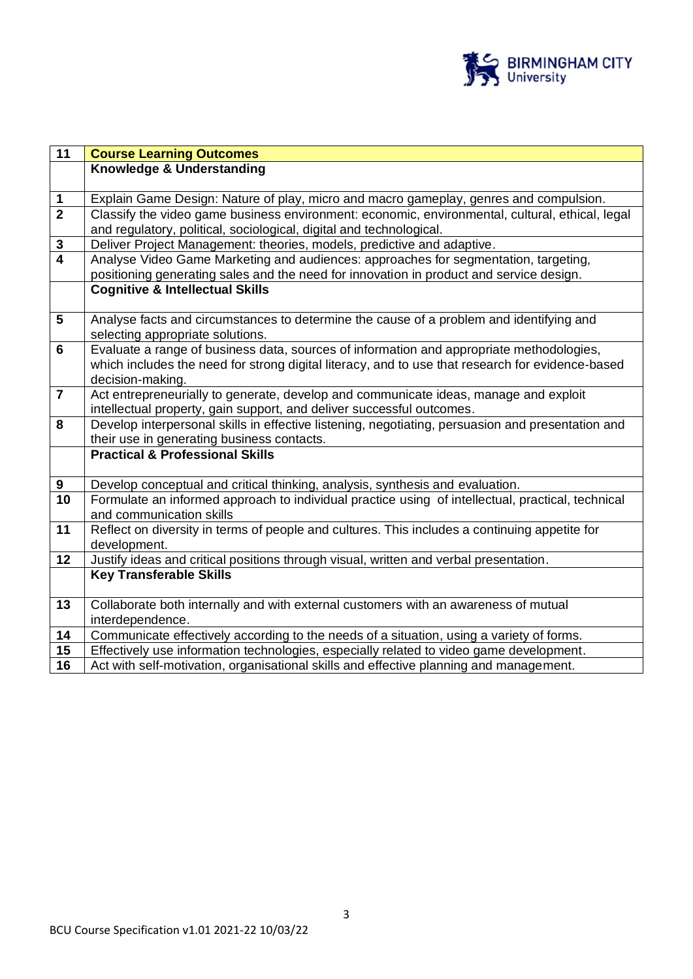

| $\overline{11}$ | <b>Course Learning Outcomes</b>                                                                   |
|-----------------|---------------------------------------------------------------------------------------------------|
|                 | Knowledge & Understanding                                                                         |
|                 |                                                                                                   |
| $\mathbf 1$     | Explain Game Design: Nature of play, micro and macro gameplay, genres and compulsion.             |
| $\overline{2}$  | Classify the video game business environment: economic, environmental, cultural, ethical, legal   |
|                 | and regulatory, political, sociological, digital and technological.                               |
| $\mathbf 3$     | Deliver Project Management: theories, models, predictive and adaptive.                            |
| $\overline{4}$  | Analyse Video Game Marketing and audiences: approaches for segmentation, targeting,               |
|                 | positioning generating sales and the need for innovation in product and service design.           |
|                 | <b>Cognitive &amp; Intellectual Skills</b>                                                        |
|                 |                                                                                                   |
| $5\phantom{.0}$ | Analyse facts and circumstances to determine the cause of a problem and identifying and           |
|                 | selecting appropriate solutions.                                                                  |
| 6               | Evaluate a range of business data, sources of information and appropriate methodologies,          |
|                 | which includes the need for strong digital literacy, and to use that research for evidence-based  |
|                 | decision-making.                                                                                  |
| $\overline{7}$  | Act entrepreneurially to generate, develop and communicate ideas, manage and exploit              |
|                 | intellectual property, gain support, and deliver successful outcomes.                             |
| 8               | Develop interpersonal skills in effective listening, negotiating, persuasion and presentation and |
|                 | their use in generating business contacts.                                                        |
|                 | <b>Practical &amp; Professional Skills</b>                                                        |
|                 |                                                                                                   |
| 9               | Develop conceptual and critical thinking, analysis, synthesis and evaluation.                     |
| 10              | Formulate an informed approach to individual practice using of intellectual, practical, technical |
|                 | and communication skills                                                                          |
| 11              | Reflect on diversity in terms of people and cultures. This includes a continuing appetite for     |
|                 | development.                                                                                      |
| 12              | Justify ideas and critical positions through visual, written and verbal presentation.             |
|                 | <b>Key Transferable Skills</b>                                                                    |
|                 |                                                                                                   |
| 13              | Collaborate both internally and with external customers with an awareness of mutual               |
|                 | interdependence.                                                                                  |
| 14              | Communicate effectively according to the needs of a situation, using a variety of forms.          |
| 15              | Effectively use information technologies, especially related to video game development.           |
| 16              | Act with self-motivation, organisational skills and effective planning and management.            |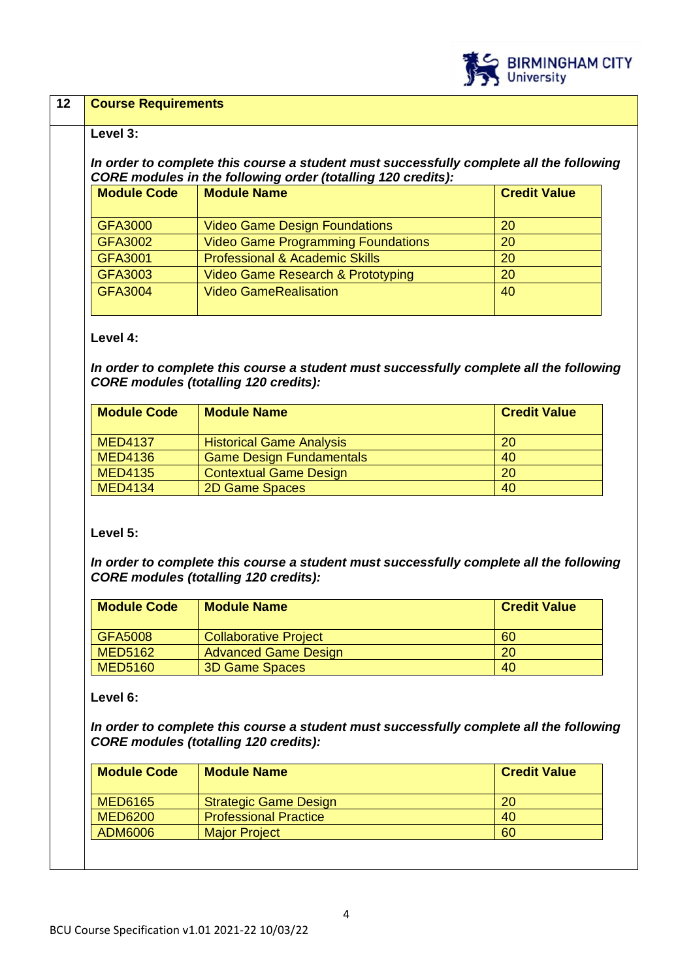

## **12 Course Requirements**

#### **Level 3:**

## *In order to complete this course a student must successfully complete all the following CORE modules in the following order (totalling 120 credits):*

| <b>Module Code</b> | <b>Module Name</b>                        | <b>Credit Value</b> |
|--------------------|-------------------------------------------|---------------------|
|                    |                                           |                     |
| <b>GFA3000</b>     | <b>Video Game Design Foundations</b>      | 20                  |
| <b>GFA3002</b>     | <b>Video Game Programming Foundations</b> | 20                  |
| GFA3001            | <b>Professional &amp; Academic Skills</b> | 20                  |
| <b>GFA3003</b>     | Video Game Research & Prototyping         | 20                  |
| <b>GFA3004</b>     | <b>Video GameRealisation</b>              | 40                  |
|                    |                                           |                     |

#### **Level 4:**

*In order to complete this course a student must successfully complete all the following CORE modules (totalling 120 credits):*

| <b>Module Code</b> | <b>Module Name</b>              | <b>Credit Value</b> |
|--------------------|---------------------------------|---------------------|
| <b>MED4137</b>     | <b>Historical Game Analysis</b> | <b>20</b>           |
| <b>MED4136</b>     | <b>Game Design Fundamentals</b> | 40                  |
| <b>MED4135</b>     | <b>Contextual Game Design</b>   | <b>20</b>           |
| <b>MED4134</b>     | 2D Game Spaces                  | 40                  |

#### **Level 5:**

*In order to complete this course a student must successfully complete all the following CORE modules (totalling 120 credits):*

| <b>Module Code</b> | <b>Module Name</b>           | <b>Credit Value</b> |
|--------------------|------------------------------|---------------------|
| GFA5008            | <b>Collaborative Project</b> | 60                  |
| MED5162            | <b>Advanced Game Design</b>  | 20                  |
| <b>MED5160</b>     | <b>3D Game Spaces</b>        | 40                  |

#### **Level 6:**

*In order to complete this course a student must successfully complete all the following CORE modules (totalling 120 credits):*

| <b>Module Name</b>           | <b>Credit Value</b> |
|------------------------------|---------------------|
| <b>Strategic Game Design</b> | 20                  |
| <b>Professional Practice</b> | 40                  |
| <b>Major Project</b>         | 60                  |
|                              |                     |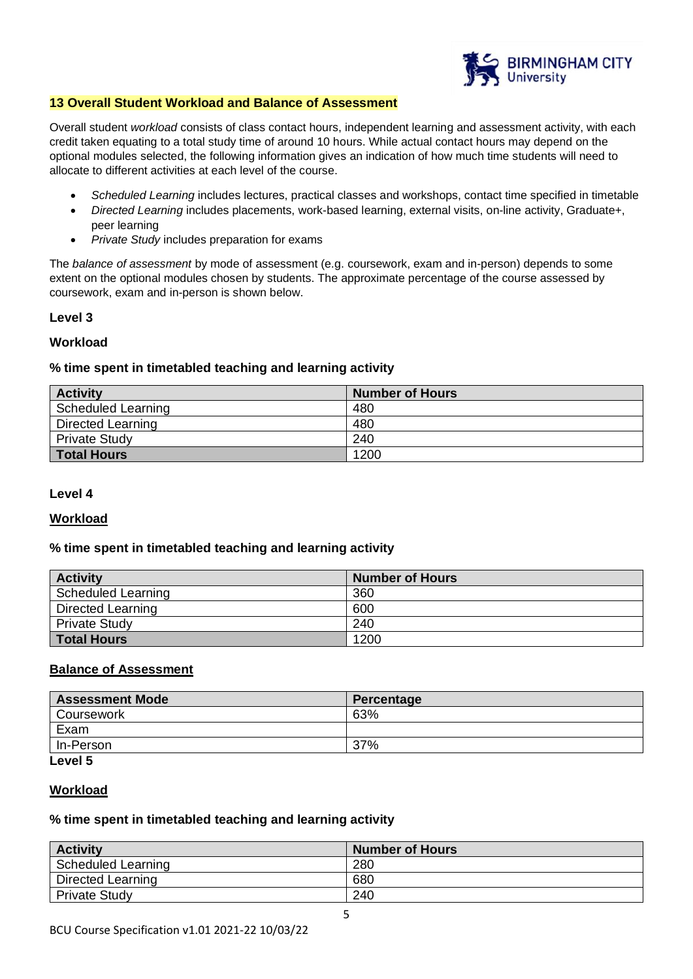

#### **13 Overall Student Workload and Balance of Assessment**

Overall student *workload* consists of class contact hours, independent learning and assessment activity, with each credit taken equating to a total study time of around 10 hours. While actual contact hours may depend on the optional modules selected, the following information gives an indication of how much time students will need to allocate to different activities at each level of the course.

- *Scheduled Learning* includes lectures, practical classes and workshops, contact time specified in timetable
- *Directed Learning* includes placements, work-based learning, external visits, on-line activity, Graduate+, peer learning
- *Private Study* includes preparation for exams

The *balance of assessment* by mode of assessment (e.g. coursework, exam and in-person) depends to some extent on the optional modules chosen by students. The approximate percentage of the course assessed by coursework, exam and in-person is shown below.

#### **Level 3**

#### **Workload**

#### **% time spent in timetabled teaching and learning activity**

| <b>Activity</b>           | <b>Number of Hours</b> |
|---------------------------|------------------------|
| <b>Scheduled Learning</b> | 480                    |
| Directed Learning         | 480                    |
| <b>Private Study</b>      | 240                    |
| <b>Total Hours</b>        | 1200                   |

#### **Level 4**

#### **Workload**

#### **% time spent in timetabled teaching and learning activity**

| <b>Activity</b>      | <b>Number of Hours</b> |
|----------------------|------------------------|
| Scheduled Learning   | 360                    |
| Directed Learning    | 600                    |
| <b>Private Study</b> | 240                    |
| <b>Total Hours</b>   | 1200                   |

## **Balance of Assessment**

| <b>Assessment Mode</b> | Percentage |
|------------------------|------------|
| Coursework             | 63%        |
| Exam                   |            |
| In-Person              | 37%        |
| ______                 |            |

# **Level 5**

## **Workload**

#### **% time spent in timetabled teaching and learning activity**

| <b>Activity</b>          | <b>Number of Hours</b> |
|--------------------------|------------------------|
| Scheduled Learning       | 280                    |
| <b>Directed Learning</b> | 680                    |
| <b>Private Study</b>     | 240                    |